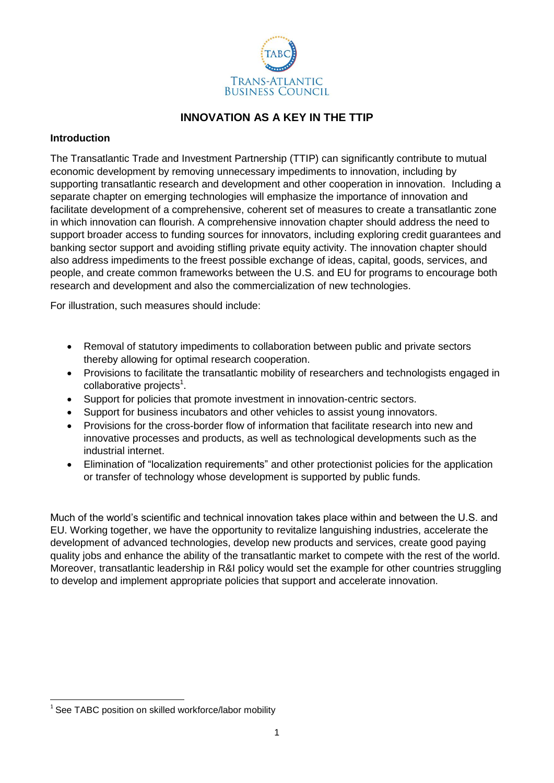

# **INNOVATION AS A KEY IN THE TTIP**

## **Introduction**

The Transatlantic Trade and Investment Partnership (TTIP) can significantly contribute to mutual economic development by removing unnecessary impediments to innovation, including by supporting transatlantic research and development and other cooperation in innovation. Including a separate chapter on emerging technologies will emphasize the importance of innovation and facilitate development of a comprehensive, coherent set of measures to create a transatlantic zone in which innovation can flourish. A comprehensive innovation chapter should address the need to support broader access to funding sources for innovators, including exploring credit guarantees and banking sector support and avoiding stifling private equity activity. The innovation chapter should also address impediments to the freest possible exchange of ideas, capital, goods, services, and people, and create common frameworks between the U.S. and EU for programs to encourage both research and development and also the commercialization of new technologies.

For illustration, such measures should include:

- Removal of statutory impediments to collaboration between public and private sectors thereby allowing for optimal research cooperation.
- Provisions to facilitate the transatlantic mobility of researchers and technologists engaged in collaborative projects<sup>1</sup>.
- Support for policies that promote investment in innovation-centric sectors.
- Support for business incubators and other vehicles to assist young innovators.
- Provisions for the cross-border flow of information that facilitate research into new and innovative processes and products, as well as technological developments such as the industrial internet.
- Elimination of "localization requirements" and other protectionist policies for the application or transfer of technology whose development is supported by public funds.

Much of the world's scientific and technical innovation takes place within and between the U.S. and EU. Working together, we have the opportunity to revitalize languishing industries, accelerate the development of advanced technologies, develop new products and services, create good paying quality jobs and enhance the ability of the transatlantic market to compete with the rest of the world. Moreover, transatlantic leadership in R&I policy would set the example for other countries struggling to develop and implement appropriate policies that support and accelerate innovation.

**<sup>.</sup>**  $1$  See TABC position on skilled workforce/labor mobility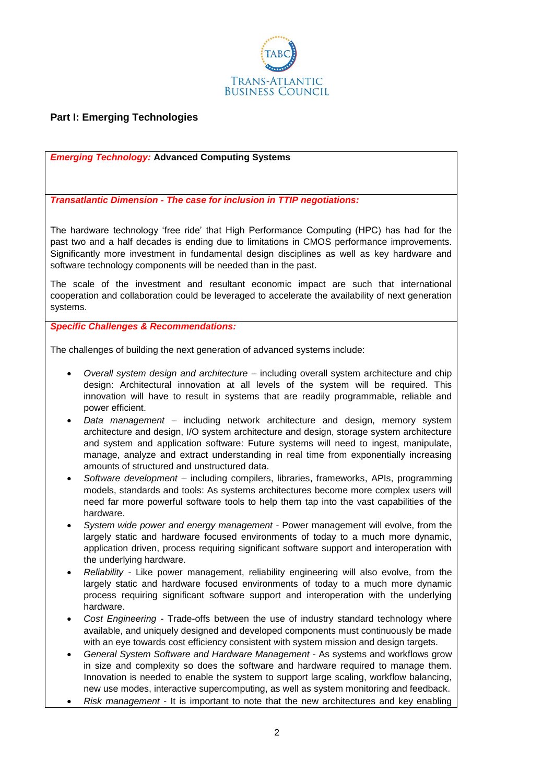

# **Part I: Emerging Technologies**

*Emerging Technology:* **Advanced Computing Systems**

*Transatlantic Dimension - The case for inclusion in TTIP negotiations:*

The hardware technology 'free ride' that High Performance Computing (HPC) has had for the past two and a half decades is ending due to limitations in CMOS performance improvements. Significantly more investment in fundamental design disciplines as well as key hardware and software technology components will be needed than in the past.

The scale of the investment and resultant economic impact are such that international cooperation and collaboration could be leveraged to accelerate the availability of next generation systems.

*Specific Challenges & Recommendations:* 

The challenges of building the next generation of advanced systems include:

- *Overall system design and architecture* including overall system architecture and chip design: Architectural innovation at all levels of the system will be required. This innovation will have to result in systems that are readily programmable, reliable and power efficient.
- *Data management* including network architecture and design, memory system architecture and design, I/O system architecture and design, storage system architecture and system and application software: Future systems will need to ingest, manipulate, manage, analyze and extract understanding in real time from exponentially increasing amounts of structured and unstructured data.
- *Software development* including compilers, libraries, frameworks, APIs, programming models, standards and tools: As systems architectures become more complex users will need far more powerful software tools to help them tap into the vast capabilities of the hardware.
- *System wide power and energy management -* Power management will evolve, from the largely static and hardware focused environments of today to a much more dynamic, application driven, process requiring significant software support and interoperation with the underlying hardware.
- *Reliability -* Like power management, reliability engineering will also evolve, from the largely static and hardware focused environments of today to a much more dynamic process requiring significant software support and interoperation with the underlying hardware.
- *Cost Engineering -* Trade-offs between the use of industry standard technology where available, and uniquely designed and developed components must continuously be made with an eye towards cost efficiency consistent with system mission and design targets.
- *General System Software and Hardware Management* As systems and workflows grow in size and complexity so does the software and hardware required to manage them. Innovation is needed to enable the system to support large scaling, workflow balancing, new use modes, interactive supercomputing, as well as system monitoring and feedback.
- *Risk management* It is important to note that the new architectures and key enabling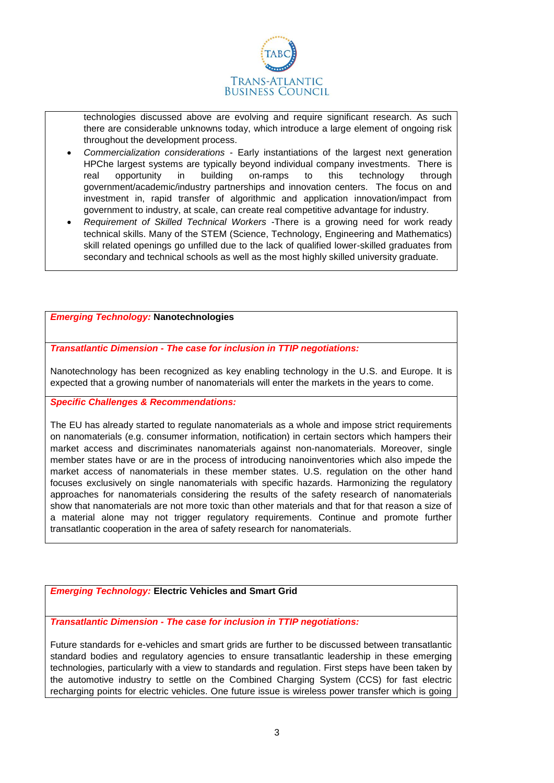

technologies discussed above are evolving and require significant research. As such there are considerable unknowns today, which introduce a large element of ongoing risk throughout the development process.

- *Commercialization considerations* Early instantiations of the largest next generation HPChe largest systems are typically beyond individual company investments. There is real opportunity in building on-ramps to this technology through government/academic/industry partnerships and innovation centers. The focus on and investment in, rapid transfer of algorithmic and application innovation/impact from government to industry, at scale, can create real competitive advantage for industry.
- *Requirement of Skilled Technical Workers* -There is a growing need for work ready technical skills. Many of the STEM (Science, Technology, Engineering and Mathematics) skill related openings go unfilled due to the lack of qualified lower-skilled graduates from secondary and technical schools as well as the most highly skilled university graduate.

#### *Emerging Technology:* **Nanotechnologies**

*Transatlantic Dimension - The case for inclusion in TTIP negotiations:*

Nanotechnology has been recognized as key enabling technology in the U.S. and Europe. It is expected that a growing number of nanomaterials will enter the markets in the years to come.

#### *Specific Challenges & Recommendations:*

The EU has already started to regulate nanomaterials as a whole and impose strict requirements on nanomaterials (e.g. consumer information, notification) in certain sectors which hampers their market access and discriminates nanomaterials against non-nanomaterials. Moreover, single member states have or are in the process of introducing nanoinventories which also impede the market access of nanomaterials in these member states. U.S. regulation on the other hand focuses exclusively on single nanomaterials with specific hazards. Harmonizing the regulatory approaches for nanomaterials considering the results of the safety research of nanomaterials show that nanomaterials are not more toxic than other materials and that for that reason a size of a material alone may not trigger regulatory requirements. Continue and promote further transatlantic cooperation in the area of safety research for nanomaterials.

### *Emerging Technology:* **Electric Vehicles and Smart Grid**

*Transatlantic Dimension - The case for inclusion in TTIP negotiations:*

Future standards for e-vehicles and smart grids are further to be discussed between transatlantic standard bodies and regulatory agencies to ensure transatlantic leadership in these emerging technologies, particularly with a view to standards and regulation. First steps have been taken by the automotive industry to settle on the Combined Charging System (CCS) for fast electric recharging points for electric vehicles. One future issue is wireless power transfer which is going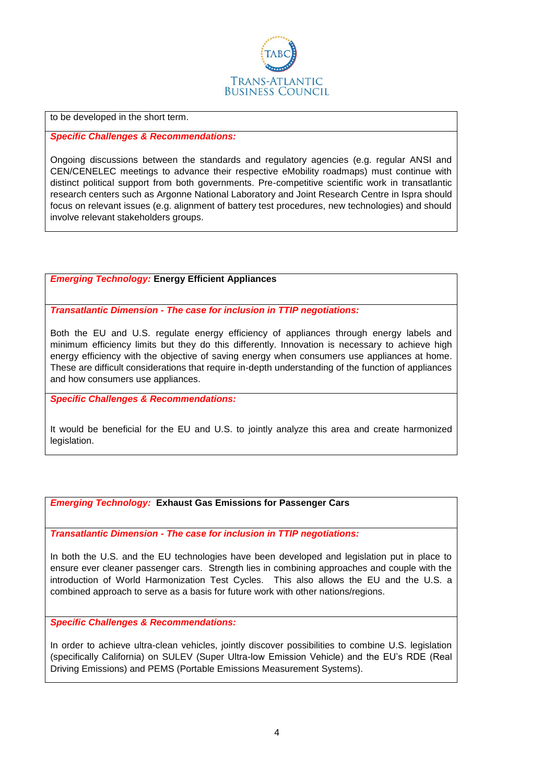

to be developed in the short term.

*Specific Challenges & Recommendations:* 

Ongoing discussions between the standards and regulatory agencies (e.g. regular ANSI and CEN/CENELEC meetings to advance their respective eMobility roadmaps) must continue with distinct political support from both governments. Pre-competitive scientific work in transatlantic research centers such as Argonne National Laboratory and Joint Research Centre in Ispra should focus on relevant issues (e.g. alignment of battery test procedures, new technologies) and should involve relevant stakeholders groups.

### *Emerging Technology:* **Energy Efficient Appliances**

*Transatlantic Dimension - The case for inclusion in TTIP negotiations:*

Both the EU and U.S. regulate energy efficiency of appliances through energy labels and minimum efficiency limits but they do this differently. Innovation is necessary to achieve high energy efficiency with the objective of saving energy when consumers use appliances at home. These are difficult considerations that require in-depth understanding of the function of appliances and how consumers use appliances.

*Specific Challenges & Recommendations:* 

It would be beneficial for the EU and U.S. to jointly analyze this area and create harmonized legislation.

*Emerging Technology:* **Exhaust Gas Emissions for Passenger Cars**

*Transatlantic Dimension - The case for inclusion in TTIP negotiations:*

In both the U.S. and the EU technologies have been developed and legislation put in place to ensure ever cleaner passenger cars. Strength lies in combining approaches and couple with the introduction of World Harmonization Test Cycles. This also allows the EU and the U.S. a combined approach to serve as a basis for future work with other nations/regions.

*Specific Challenges & Recommendations:* 

In order to achieve ultra-clean vehicles, jointly discover possibilities to combine U.S. legislation (specifically California) on SULEV (Super Ultra-low Emission Vehicle) and the EU's RDE (Real Driving Emissions) and PEMS (Portable Emissions Measurement Systems).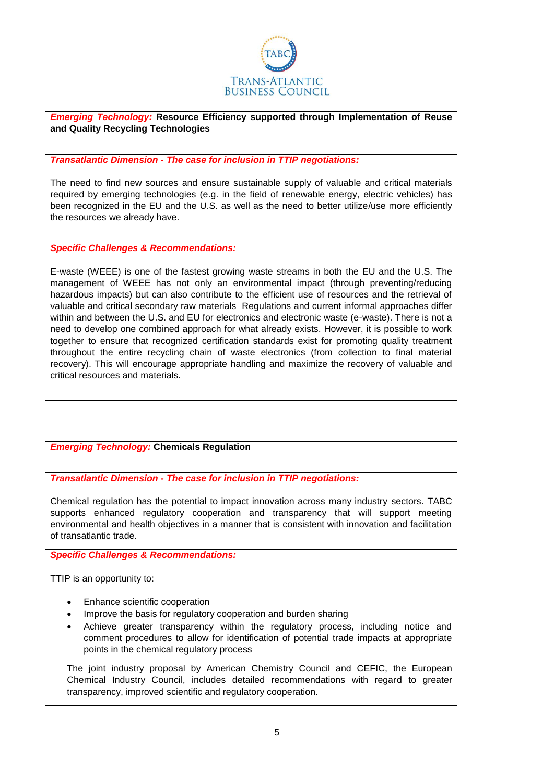

*Emerging Technology:* **Resource Efficiency supported through Implementation of Reuse and Quality Recycling Technologies**

#### *Transatlantic Dimension - The case for inclusion in TTIP negotiations:*

The need to find new sources and ensure sustainable supply of valuable and critical materials required by emerging technologies (e.g. in the field of renewable energy, electric vehicles) has been recognized in the EU and the U.S. as well as the need to better utilize/use more efficiently the resources we already have.

*Specific Challenges & Recommendations:* 

E-waste (WEEE) is one of the fastest growing waste streams in both the EU and the U.S. The management of WEEE has not only an environmental impact (through preventing/reducing hazardous impacts) but can also contribute to the efficient use of resources and the retrieval of valuable and critical secondary raw materials Regulations and current informal approaches differ within and between the U.S. and EU for electronics and electronic waste (e-waste). There is not a need to develop one combined approach for what already exists. However, it is possible to work together to ensure that recognized certification standards exist for promoting quality treatment throughout the entire recycling chain of waste electronics (from collection to final material recovery). This will encourage appropriate handling and maximize the recovery of valuable and critical resources and materials.

### *Emerging Technology:* **Chemicals Regulation**

*Transatlantic Dimension - The case for inclusion in TTIP negotiations:*

Chemical regulation has the potential to impact innovation across many industry sectors. TABC supports enhanced regulatory cooperation and transparency that will support meeting environmental and health objectives in a manner that is consistent with innovation and facilitation of transatlantic trade.

*Specific Challenges & Recommendations:* 

TTIP is an opportunity to:

- Enhance scientific cooperation
- Improve the basis for regulatory cooperation and burden sharing
- Achieve greater transparency within the regulatory process, including notice and comment procedures to allow for identification of potential trade impacts at appropriate points in the chemical regulatory process

The joint industry proposal by American Chemistry Council and CEFIC, the European Chemical Industry Council, includes detailed recommendations with regard to greater transparency, improved scientific and regulatory cooperation.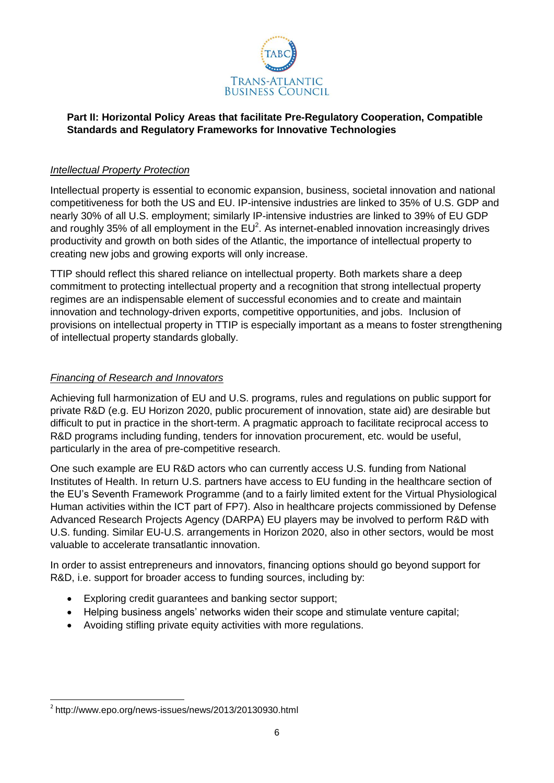

# **Part II: Horizontal Policy Areas that facilitate Pre-Regulatory Cooperation, Compatible Standards and Regulatory Frameworks for Innovative Technologies**

### *Intellectual Property Protection*

Intellectual property is essential to economic expansion, business, societal innovation and national competitiveness for both the US and EU. IP-intensive industries are linked to 35% of U.S. GDP and nearly 30% of all U.S. employment; similarly IP-intensive industries are linked to 39% of EU GDP and roughly 35% of all employment in the  $EU^2$ . As internet-enabled innovation increasingly drives productivity and growth on both sides of the Atlantic, the importance of intellectual property to creating new jobs and growing exports will only increase.

TTIP should reflect this shared reliance on intellectual property. Both markets share a deep commitment to protecting intellectual property and a recognition that strong intellectual property regimes are an indispensable element of successful economies and to create and maintain innovation and technology-driven exports, competitive opportunities, and jobs. Inclusion of provisions on intellectual property in TTIP is especially important as a means to foster strengthening of intellectual property standards globally.

# *Financing of Research and Innovators*

Achieving full harmonization of EU and U.S. programs, rules and regulations on public support for private R&D (e.g. EU Horizon 2020, public procurement of innovation, state aid) are desirable but difficult to put in practice in the short-term. A pragmatic approach to facilitate reciprocal access to R&D programs including funding, tenders for innovation procurement, etc. would be useful, particularly in the area of pre-competitive research.

One such example are EU R&D actors who can currently access U.S. funding from National Institutes of Health. In return U.S. partners have access to EU funding in the healthcare section of the EU's Seventh Framework Programme (and to a fairly limited extent for the Virtual Physiological Human activities within the ICT part of FP7). Also in healthcare projects commissioned by Defense Advanced Research Projects Agency (DARPA) EU players may be involved to perform R&D with U.S. funding. Similar EU-U.S. arrangements in Horizon 2020, also in other sectors, would be most valuable to accelerate transatlantic innovation.

In order to assist entrepreneurs and innovators, financing options should go beyond support for R&D, i.e. support for broader access to funding sources, including by:

- Exploring credit guarantees and banking sector support;
- Helping business angels' networks widen their scope and stimulate venture capital;
- Avoiding stifling private equity activities with more regulations.

**<sup>.</sup>** <sup>2</sup> <http://www.epo.org/news-issues/news/2013/20130930.html>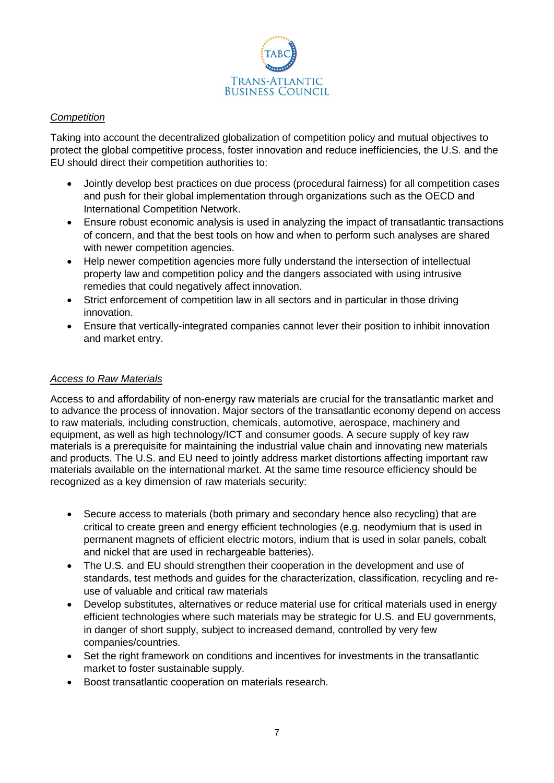

# *Competition*

Taking into account the decentralized globalization of competition policy and mutual objectives to protect the global competitive process, foster innovation and reduce inefficiencies, the U.S. and the EU should direct their competition authorities to:

- Jointly develop best practices on due process (procedural fairness) for all competition cases and push for their global implementation through organizations such as the OECD and International Competition Network.
- Ensure robust economic analysis is used in analyzing the impact of transatlantic transactions of concern, and that the best tools on how and when to perform such analyses are shared with newer competition agencies.
- Help newer competition agencies more fully understand the intersection of intellectual property law and competition policy and the dangers associated with using intrusive remedies that could negatively affect innovation.
- Strict enforcement of competition law in all sectors and in particular in those driving innovation.
- Ensure that vertically-integrated companies cannot lever their position to inhibit innovation and market entry.

### *Access to Raw Materials*

Access to and affordability of non-energy raw materials are crucial for the transatlantic market and to advance the process of innovation. Major sectors of the transatlantic economy depend on access to raw materials, including construction, chemicals, automotive, aerospace, machinery and equipment, as well as high technology/ICT and consumer goods. A secure supply of key raw materials is a prerequisite for maintaining the industrial value chain and innovating new materials and products. The U.S. and EU need to jointly address market distortions affecting important raw materials available on the international market. At the same time resource efficiency should be recognized as a key dimension of raw materials security:

- Secure access to materials (both primary and secondary hence also recycling) that are critical to create green and energy efficient technologies (e.g. neodymium that is used in permanent magnets of efficient electric motors, indium that is used in solar panels, cobalt and nickel that are used in rechargeable batteries).
- The U.S. and EU should strengthen their cooperation in the development and use of standards, test methods and guides for the characterization, classification, recycling and reuse of valuable and critical raw materials
- Develop substitutes, alternatives or reduce material use for critical materials used in energy efficient technologies where such materials may be strategic for U.S. and EU governments, in danger of short supply, subject to increased demand, controlled by very few companies/countries.
- Set the right framework on conditions and incentives for investments in the transatlantic market to foster sustainable supply.
- Boost transatlantic cooperation on materials research.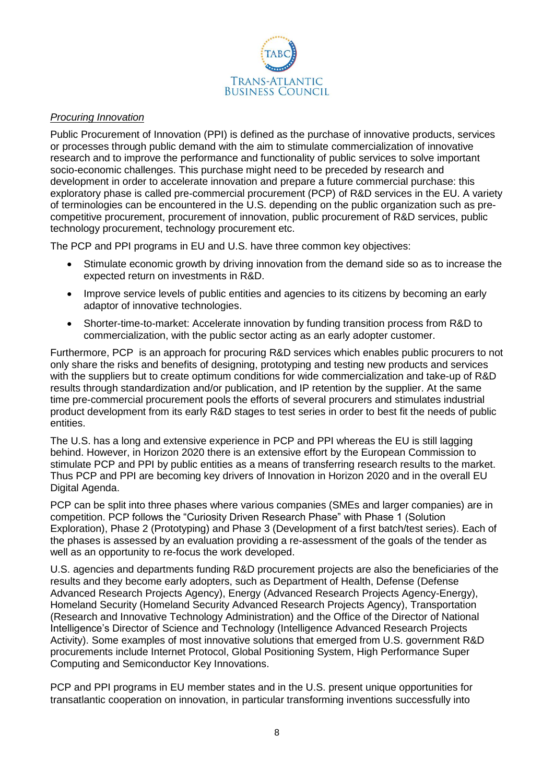

## *Procuring Innovation*

Public Procurement of Innovation (PPI) is defined as the purchase of innovative products, services or processes through public demand with the aim to stimulate commercialization of innovative research and to improve the performance and functionality of public services to solve important socio-economic challenges. This purchase might need to be preceded by research and development in order to accelerate innovation and prepare a future commercial purchase: this exploratory phase is called pre-commercial procurement (PCP) of R&D services in the EU. A variety of terminologies can be encountered in the U.S. depending on the public organization such as precompetitive procurement, procurement of innovation, public procurement of R&D services, public technology procurement, technology procurement etc.

The PCP and PPI programs in EU and U.S. have three common key objectives:

- Stimulate economic growth by driving innovation from the demand side so as to increase the expected return on investments in R&D.
- Improve service levels of public entities and agencies to its citizens by becoming an early adaptor of innovative technologies.
- Shorter-time-to-market: Accelerate innovation by funding transition process from R&D to commercialization, with the public sector acting as an early adopter customer.

Furthermore, PCP is an approach for procuring R&D services which enables public procurers to not only share the risks and benefits of designing, prototyping and testing new products and services with the suppliers but to create optimum conditions for wide commercialization and take-up of R&D results through standardization and/or publication, and IP retention by the supplier. At the same time pre-commercial procurement pools the efforts of several procurers and stimulates industrial product development from its early R&D stages to test series in order to best fit the needs of public entities.

The U.S. has a long and extensive experience in PCP and PPI whereas the EU is still lagging behind. However, in Horizon 2020 there is an extensive effort by the European Commission to stimulate PCP and PPI by public entities as a means of transferring research results to the market. Thus PCP and PPI are becoming key drivers of Innovation in Horizon 2020 and in the overall EU Digital Agenda.

PCP can be split into three phases where various companies (SMEs and larger companies) are in competition. PCP follows the "Curiosity Driven Research Phase" with Phase 1 (Solution Exploration), Phase 2 (Prototyping) and Phase 3 (Development of a first batch/test series). Each of the phases is assessed by an evaluation providing a re-assessment of the goals of the tender as well as an opportunity to re-focus the work developed.

U.S. agencies and departments funding R&D procurement projects are also the beneficiaries of the results and they become early adopters, such as Department of Health, Defense (Defense Advanced Research Projects Agency), Energy (Advanced Research Projects Agency-Energy), Homeland Security (Homeland Security Advanced Research Projects Agency), Transportation (Research and Innovative Technology Administration) and the Office of the Director of National Intelligence's Director of Science and Technology (Intelligence Advanced Research Projects Activity). Some examples of most innovative solutions that emerged from U.S. government R&D procurements include Internet Protocol, Global Positioning System, High Performance Super Computing and Semiconductor Key Innovations.

PCP and PPI programs in EU member states and in the U.S. present unique opportunities for transatlantic cooperation on innovation, in particular transforming inventions successfully into